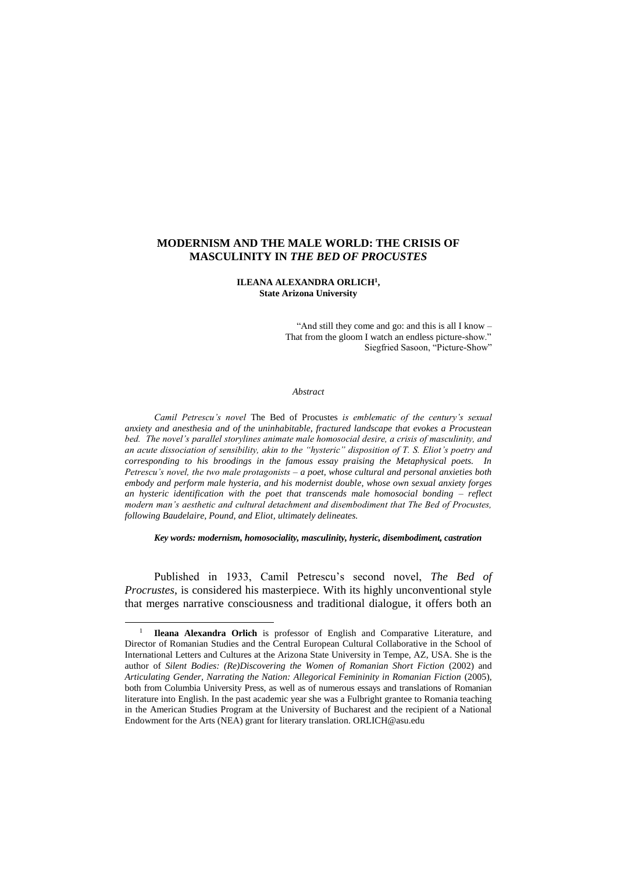# **MODERNISM AND THE MALE WORLD: THE CRISIS OF MASCULINITY IN** *THE BED OF PROCUSTES*

#### **ILEANA ALEXANDRA ORLICH<sup>1</sup> , State Arizona University**

"And still they come and go: and this is all I know – That from the gloom I watch an endless picture-show." Siegfried Sasoon, "Picture-Show"

#### *Abstract*

*Camil Petrescu's novel* The Bed of Procustes *is emblematic of the century's sexual anxiety and anesthesia and of the uninhabitable, fractured landscape that evokes a Procustean bed. The novel's parallel storylines animate male homosocial desire, a crisis of masculinity, and an acute dissociation of sensibility, akin to the "hysteric" disposition of T. S. Eliot's poetry and corresponding to his broodings in the famous essay praising the Metaphysical poets. In Petrescu's novel, the two male protagonists – a poet, whose cultural and personal anxieties both embody and perform male hysteria, and his modernist double, whose own sexual anxiety forges an hysteric identification with the poet that transcends male homosocial bonding – reflect modern man's aesthetic and cultural detachment and disembodiment that The Bed of Procustes, following Baudelaire, Pound, and Eliot, ultimately delineates.*

*Key words: modernism, homosociality, masculinity, hysteric, disembodiment, castration*

Published in 1933, Camil Petrescu's second novel, *The Bed of Procrustes*, is considered his masterpiece. With its highly unconventional style that merges narrative consciousness and traditional dialogue, it offers both an

<sup>1</sup> **Ileana Alexandra Orlich** is professor of English and Comparative Literature, and Director of Romanian Studies and the Central European Cultural Collaborative in the School of International Letters and Cultures at the Arizona State University in Tempe, AZ, USA. She is the author of *Silent Bodies: (Re)Discovering the Women of Romanian Short Fiction* (2002) and *Articulating Gender, Narrating the Nation: Allegorical Femininity in Romanian Fiction* (2005), both from Columbia University Press, as well as of numerous essays and translations of Romanian literature into English. In the past academic year she was a Fulbright grantee to Romania teaching in the American Studies Program at the University of Bucharest and the recipient of a National Endowment for the Arts (NEA) grant for literary translation. ORLICH@asu.edu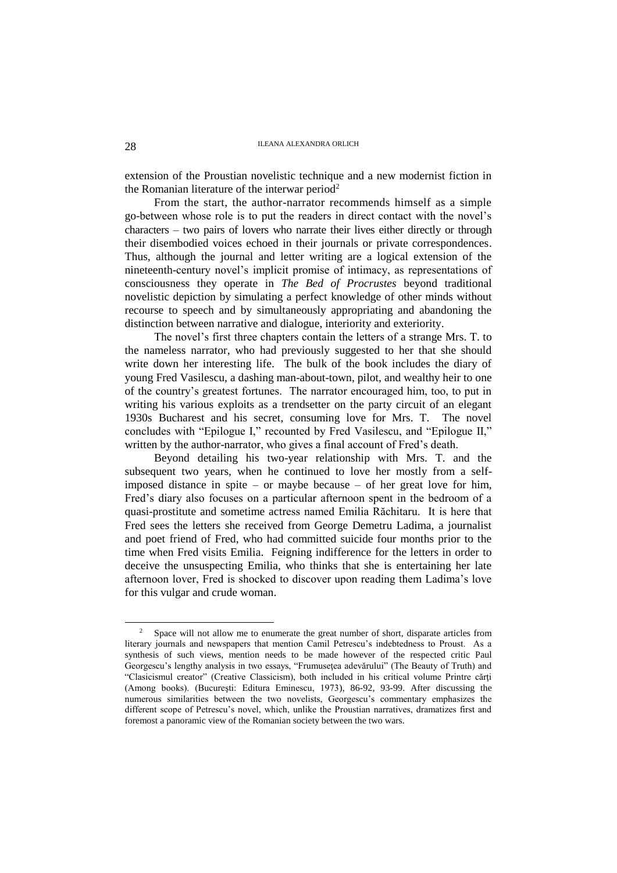extension of the Proustian novelistic technique and a new modernist fiction in the Romanian literature of the interwar period<sup>2</sup>

From the start, the author-narrator recommends himself as a simple go-between whose role is to put the readers in direct contact with the novel's characters – two pairs of lovers who narrate their lives either directly or through their disembodied voices echoed in their journals or private correspondences. Thus, although the journal and letter writing are a logical extension of the nineteenth-century novel's implicit promise of intimacy, as representations of consciousness they operate in *The Bed of Procrustes* beyond traditional novelistic depiction by simulating a perfect knowledge of other minds without recourse to speech and by simultaneously appropriating and abandoning the distinction between narrative and dialogue, interiority and exteriority.

The novel's first three chapters contain the letters of a strange Mrs. T. to the nameless narrator, who had previously suggested to her that she should write down her interesting life. The bulk of the book includes the diary of young Fred Vasilescu, a dashing man-about-town, pilot, and wealthy heir to one of the country's greatest fortunes. The narrator encouraged him, too, to put in writing his various exploits as a trendsetter on the party circuit of an elegant 1930s Bucharest and his secret, consuming love for Mrs. T. The novel concludes with "Epilogue I," recounted by Fred Vasilescu, and "Epilogue II," written by the author-narrator, who gives a final account of Fred's death.

Beyond detailing his two-year relationship with Mrs. T. and the subsequent two years, when he continued to love her mostly from a selfimposed distance in spite – or maybe because – of her great love for him, Fred's diary also focuses on a particular afternoon spent in the bedroom of a quasi-prostitute and sometime actress named Emilia Răchitaru. It is here that Fred sees the letters she received from George Demetru Ladima, a journalist and poet friend of Fred, who had committed suicide four months prior to the time when Fred visits Emilia. Feigning indifference for the letters in order to deceive the unsuspecting Emilia, who thinks that she is entertaining her late afternoon lover, Fred is shocked to discover upon reading them Ladima's love for this vulgar and crude woman.

<sup>2</sup> Space will not allow me to enumerate the great number of short, disparate articles from literary journals and newspapers that mention Camil Petrescu's indebtedness to Proust. As a synthesis of such views, mention needs to be made however of the respected critic Paul Georgescu's lengthy analysis in two essays, "Frumuseţea adevărului" (The Beauty of Truth) and "Clasicismul creator" (Creative Classicism), both included in his critical volume Printre cărţi (Among books). (Bucureşti: Editura Eminescu, 1973), 86-92, 93-99. After discussing the numerous similarities between the two novelists, Georgescu's commentary emphasizes the different scope of Petrescu's novel, which, unlike the Proustian narratives, dramatizes first and foremost a panoramic view of the Romanian society between the two wars.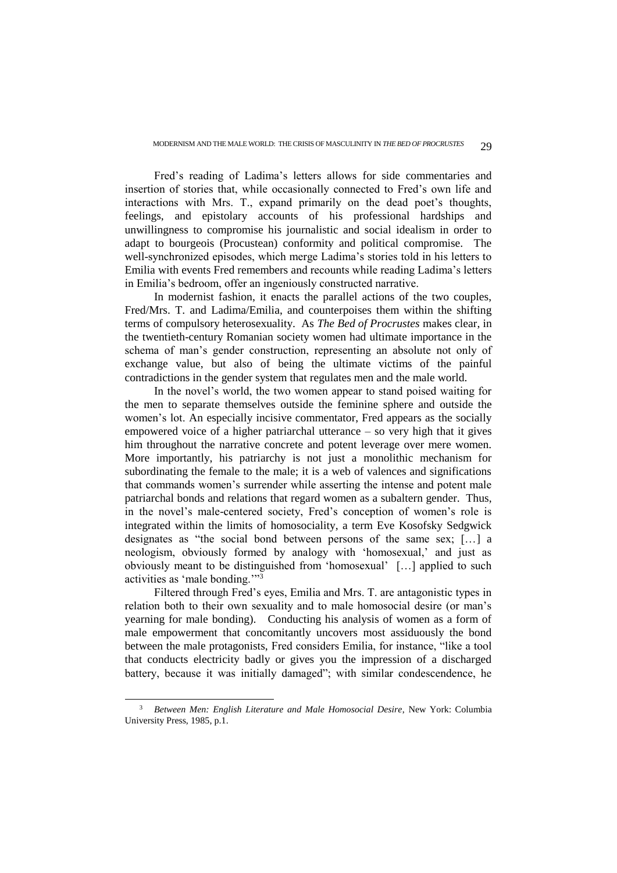Fred's reading of Ladima's letters allows for side commentaries and insertion of stories that, while occasionally connected to Fred's own life and interactions with Mrs. T., expand primarily on the dead poet's thoughts, feelings, and epistolary accounts of his professional hardships and unwillingness to compromise his journalistic and social idealism in order to adapt to bourgeois (Procustean) conformity and political compromise. The well-synchronized episodes, which merge Ladima's stories told in his letters to Emilia with events Fred remembers and recounts while reading Ladima's letters in Emilia's bedroom, offer an ingeniously constructed narrative.

In modernist fashion, it enacts the parallel actions of the two couples, Fred/Mrs. T. and Ladima/Emilia, and counterpoises them within the shifting terms of compulsory heterosexuality. As *The Bed of Procrustes* makes clear, in the twentieth-century Romanian society women had ultimate importance in the schema of man's gender construction, representing an absolute not only of exchange value, but also of being the ultimate victims of the painful contradictions in the gender system that regulates men and the male world.

In the novel's world, the two women appear to stand poised waiting for the men to separate themselves outside the feminine sphere and outside the women's lot. An especially incisive commentator, Fred appears as the socially empowered voice of a higher patriarchal utterance – so very high that it gives him throughout the narrative concrete and potent leverage over mere women. More importantly, his patriarchy is not just a monolithic mechanism for subordinating the female to the male; it is a web of valences and significations that commands women's surrender while asserting the intense and potent male patriarchal bonds and relations that regard women as a subaltern gender. Thus, in the novel's male-centered society, Fred's conception of women's role is integrated within the limits of homosociality, a term Eve Kosofsky Sedgwick designates as "the social bond between persons of the same sex; […] a neologism, obviously formed by analogy with 'homosexual,' and just as obviously meant to be distinguished from 'homosexual' […] applied to such activities as 'male bonding.'"<sup>3</sup>

Filtered through Fred's eyes, Emilia and Mrs. T. are antagonistic types in relation both to their own sexuality and to male homosocial desire (or man's yearning for male bonding). Conducting his analysis of women as a form of male empowerment that concomitantly uncovers most assiduously the bond between the male protagonists, Fred considers Emilia, for instance, "like a tool that conducts electricity badly or gives you the impression of a discharged battery, because it was initially damaged"; with similar condescendence, he

<sup>3</sup> *Between Men: English Literature and Male Homosocial Desire*, New York: Columbia University Press, 1985, p.1.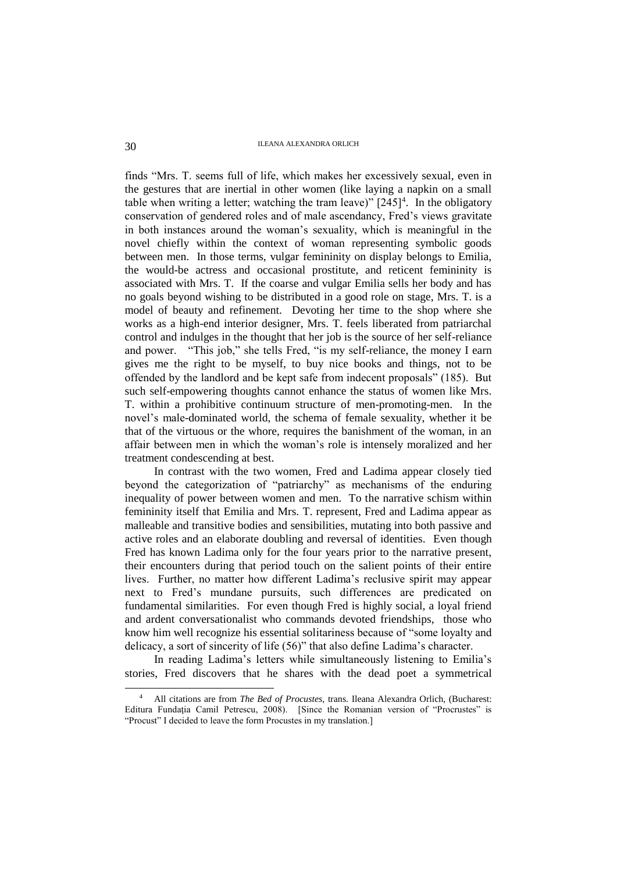finds "Mrs. T. seems full of life, which makes her excessively sexual, even in the gestures that are inertial in other women (like laying a napkin on a small table when writing a letter; watching the tram leave)"  $[245]^4$ . In the obligatory conservation of gendered roles and of male ascendancy, Fred's views gravitate in both instances around the woman's sexuality, which is meaningful in the novel chiefly within the context of woman representing symbolic goods between men. In those terms, vulgar femininity on display belongs to Emilia, the would-be actress and occasional prostitute, and reticent femininity is associated with Mrs. T. If the coarse and vulgar Emilia sells her body and has no goals beyond wishing to be distributed in a good role on stage, Mrs. T. is a model of beauty and refinement. Devoting her time to the shop where she works as a high-end interior designer, Mrs. T. feels liberated from patriarchal control and indulges in the thought that her job is the source of her self-reliance and power. "This job," she tells Fred, "is my self-reliance, the money I earn gives me the right to be myself, to buy nice books and things, not to be offended by the landlord and be kept safe from indecent proposals" (185). But such self-empowering thoughts cannot enhance the status of women like Mrs. T. within a prohibitive continuum structure of men-promoting-men. In the novel's male-dominated world, the schema of female sexuality, whether it be that of the virtuous or the whore, requires the banishment of the woman, in an affair between men in which the woman's role is intensely moralized and her treatment condescending at best.

In contrast with the two women, Fred and Ladima appear closely tied beyond the categorization of "patriarchy" as mechanisms of the enduring inequality of power between women and men. To the narrative schism within femininity itself that Emilia and Mrs. T. represent, Fred and Ladima appear as malleable and transitive bodies and sensibilities, mutating into both passive and active roles and an elaborate doubling and reversal of identities. Even though Fred has known Ladima only for the four years prior to the narrative present, their encounters during that period touch on the salient points of their entire lives. Further, no matter how different Ladima's reclusive spirit may appear next to Fred's mundane pursuits, such differences are predicated on fundamental similarities. For even though Fred is highly social, a loyal friend and ardent conversationalist who commands devoted friendships, those who know him well recognize his essential solitariness because of "some loyalty and delicacy, a sort of sincerity of life (56)" that also define Ladima's character.

In reading Ladima's letters while simultaneously listening to Emilia's stories, Fred discovers that he shares with the dead poet a symmetrical

<sup>4</sup> All citations are from *The Bed of Procustes*, trans. Ileana Alexandra Orlich, (Bucharest: Editura Fundația Camil Petrescu, 2008). [Since the Romanian version of "Procrustes" is "Procust" I decided to leave the form Procustes in my translation.]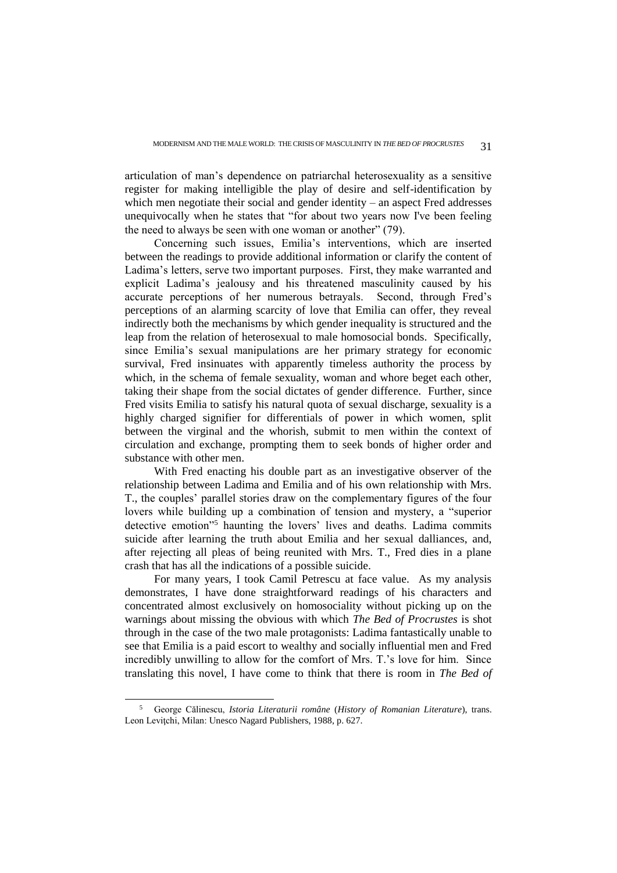articulation of man's dependence on patriarchal heterosexuality as a sensitive register for making intelligible the play of desire and self-identification by which men negotiate their social and gender identity – an aspect Fred addresses unequivocally when he states that "for about two years now I've been feeling the need to always be seen with one woman or another" (79).

Concerning such issues, Emilia's interventions, which are inserted between the readings to provide additional information or clarify the content of Ladima's letters, serve two important purposes. First, they make warranted and explicit Ladima's jealousy and his threatened masculinity caused by his accurate perceptions of her numerous betrayals. Second, through Fred's perceptions of an alarming scarcity of love that Emilia can offer, they reveal indirectly both the mechanisms by which gender inequality is structured and the leap from the relation of heterosexual to male homosocial bonds. Specifically, since Emilia's sexual manipulations are her primary strategy for economic survival, Fred insinuates with apparently timeless authority the process by which, in the schema of female sexuality, woman and whore beget each other, taking their shape from the social dictates of gender difference. Further, since Fred visits Emilia to satisfy his natural quota of sexual discharge, sexuality is a highly charged signifier for differentials of power in which women, split between the virginal and the whorish, submit to men within the context of circulation and exchange, prompting them to seek bonds of higher order and substance with other men.

With Fred enacting his double part as an investigative observer of the relationship between Ladima and Emilia and of his own relationship with Mrs. T., the couples' parallel stories draw on the complementary figures of the four lovers while building up a combination of tension and mystery, a "superior detective emotion"<sup>5</sup> haunting the lovers' lives and deaths. Ladima commits suicide after learning the truth about Emilia and her sexual dalliances, and, after rejecting all pleas of being reunited with Mrs. T., Fred dies in a plane crash that has all the indications of a possible suicide.

For many years, I took Camil Petrescu at face value. As my analysis demonstrates, I have done straightforward readings of his characters and concentrated almost exclusively on homosociality without picking up on the warnings about missing the obvious with which *The Bed of Procrustes* is shot through in the case of the two male protagonists: Ladima fantastically unable to see that Emilia is a paid escort to wealthy and socially influential men and Fred incredibly unwilling to allow for the comfort of Mrs. T.'s love for him. Since translating this novel, I have come to think that there is room in *The Bed of* 

<sup>5</sup> George Călinescu, *Istoria Literaturii române* (*History of Romanian Literature*), trans. Leon Leviţchi, Milan: Unesco Nagard Publishers, 1988, p. 627.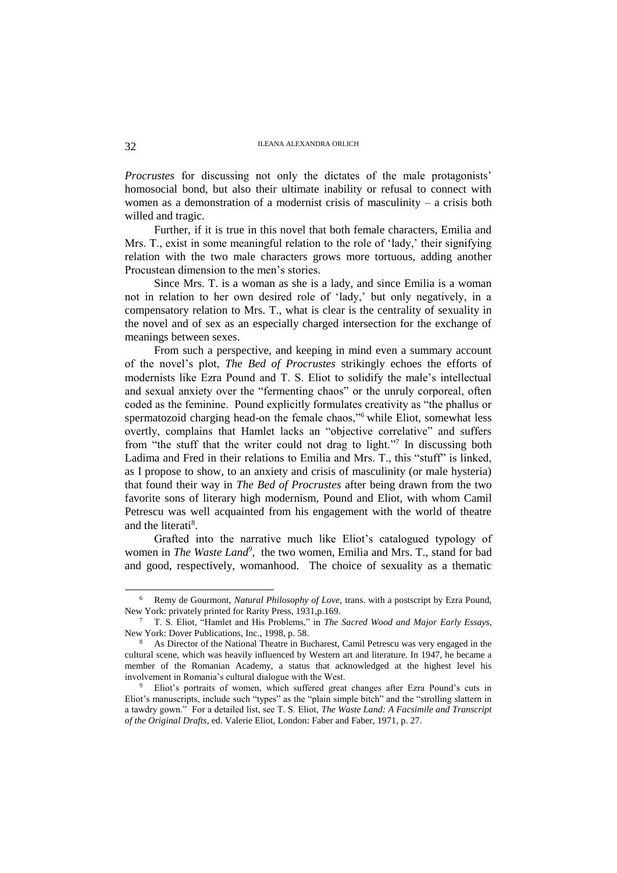*Procrustes* for discussing not only the dictates of the male protagonists' homosocial bond, but also their ultimate inability or refusal to connect with women as a demonstration of a modernist crisis of masculinity – a crisis both willed and tragic.

Further, if it is true in this novel that both female characters, Emilia and Mrs. T., exist in some meaningful relation to the role of 'lady,' their signifying relation with the two male characters grows more tortuous, adding another Procustean dimension to the men's stories.

Since Mrs. T. is a woman as she is a lady, and since Emilia is a woman not in relation to her own desired role of 'lady,' but only negatively, in a compensatory relation to Mrs. T., what is clear is the centrality of sexuality in the novel and of sex as an especially charged intersection for the exchange of meanings between sexes.

From such a perspective, and keeping in mind even a summary account of the novel's plot, *The Bed of Procrustes* strikingly echoes the efforts of modernists like Ezra Pound and T. S. Eliot to solidify the male's intellectual and sexual anxiety over the "fermenting chaos" or the unruly corporeal, often coded as the feminine. Pound explicitly formulates creativity as "the phallus or spermatozoid charging head-on the female chaos,"<sup>6</sup> while Eliot, somewhat less overtly, complains that Hamlet lacks an "objective correlative" and suffers from "the stuff that the writer could not drag to light." 7 In discussing both Ladima and Fred in their relations to Emilia and Mrs. T., this "stuff" is linked, as I propose to show, to an anxiety and crisis of masculinity (or male hysteria) that found their way in *The Bed of Procrustes* after being drawn from the two favorite sons of literary high modernism, Pound and Eliot, with whom Camil Petrescu was well acquainted from his engagement with the world of theatre and the literati<sup>8</sup>.

Grafted into the narrative much like Eliot's catalogued typology of women in *The Waste Land<sup>9</sup>*, the two women, Emilia and Mrs. T., stand for bad and good, respectively, womanhood. The choice of sexuality as a thematic

<sup>6</sup> Remy de Gourmont, *Natural Philosophy of Love*, trans. with a postscript by Ezra Pound, New York: privately printed for Rarity Press, 1931,p.169.

<sup>7</sup> T. S. Eliot, "Hamlet and His Problems," in *The Sacred Wood and Major Early Essays*, New York: Dover Publications, Inc., 1998, p. 58.

<sup>8</sup> As Director of the National Theatre in Bucharest, Camil Petrescu was very engaged in the cultural scene, which was heavily influenced by Western art and literature. In 1947, he became a member of the Romanian Academy, a status that acknowledged at the highest level his involvement in Romania's cultural dialogue with the West.

<sup>&</sup>lt;sup>9</sup> Eliot's portraits of women, which suffered great changes after Ezra Pound's cuts in Eliot's manuscripts, include such "types" as the "plain simple bitch" and the "strolling slattern in a tawdry gown." For a detailed list, see T. S. Eliot, *The Waste Land: A Facsimile and Transcript of the Original Drafts*, ed. Valerie Eliot, London: Faber and Faber, 1971, p. 27.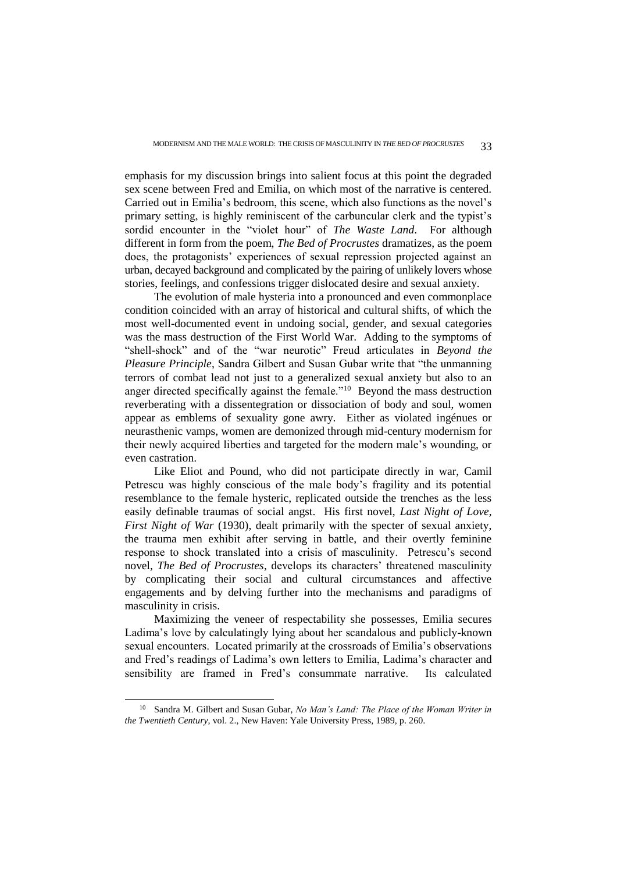emphasis for my discussion brings into salient focus at this point the degraded sex scene between Fred and Emilia, on which most of the narrative is centered. Carried out in Emilia's bedroom, this scene, which also functions as the novel's primary setting, is highly reminiscent of the carbuncular clerk and the typist's sordid encounter in the "violet hour" of *The Waste Land*. For although different in form from the poem, *The Bed of Procrustes* dramatizes, as the poem does, the protagonists' experiences of sexual repression projected against an urban, decayed background and complicated by the pairing of unlikely lovers whose stories, feelings, and confessions trigger dislocated desire and sexual anxiety.

The evolution of male hysteria into a pronounced and even commonplace condition coincided with an array of historical and cultural shifts, of which the most well-documented event in undoing social, gender, and sexual categories was the mass destruction of the First World War. Adding to the symptoms of "shell-shock" and of the "war neurotic" Freud articulates in *Beyond the Pleasure Principle*, Sandra Gilbert and Susan Gubar write that "the unmanning terrors of combat lead not just to a generalized sexual anxiety but also to an anger directed specifically against the female."<sup>10</sup> Beyond the mass destruction reverberating with a dissentegration or dissociation of body and soul, women appear as emblems of sexuality gone awry. Either as violated ingénues or neurasthenic vamps, women are demonized through mid-century modernism for their newly acquired liberties and targeted for the modern male's wounding, or even castration.

Like Eliot and Pound, who did not participate directly in war, Camil Petrescu was highly conscious of the male body's fragility and its potential resemblance to the female hysteric, replicated outside the trenches as the less easily definable traumas of social angst. His first novel, *Last Night of Love, First Night of War* (1930), dealt primarily with the specter of sexual anxiety, the trauma men exhibit after serving in battle, and their overtly feminine response to shock translated into a crisis of masculinity. Petrescu's second novel, *The Bed of Procrustes*, develops its characters' threatened masculinity by complicating their social and cultural circumstances and affective engagements and by delving further into the mechanisms and paradigms of masculinity in crisis.

Maximizing the veneer of respectability she possesses, Emilia secures Ladima's love by calculatingly lying about her scandalous and publicly-known sexual encounters. Located primarily at the crossroads of Emilia's observations and Fred's readings of Ladima's own letters to Emilia, Ladima's character and sensibility are framed in Fred's consummate narrative. Its calculated

<sup>10</sup> Sandra M. Gilbert and Susan Gubar, *No Man's Land: The Place of the Woman Writer in the Twentieth Century*, vol. 2., New Haven: Yale University Press, 1989, p. 260.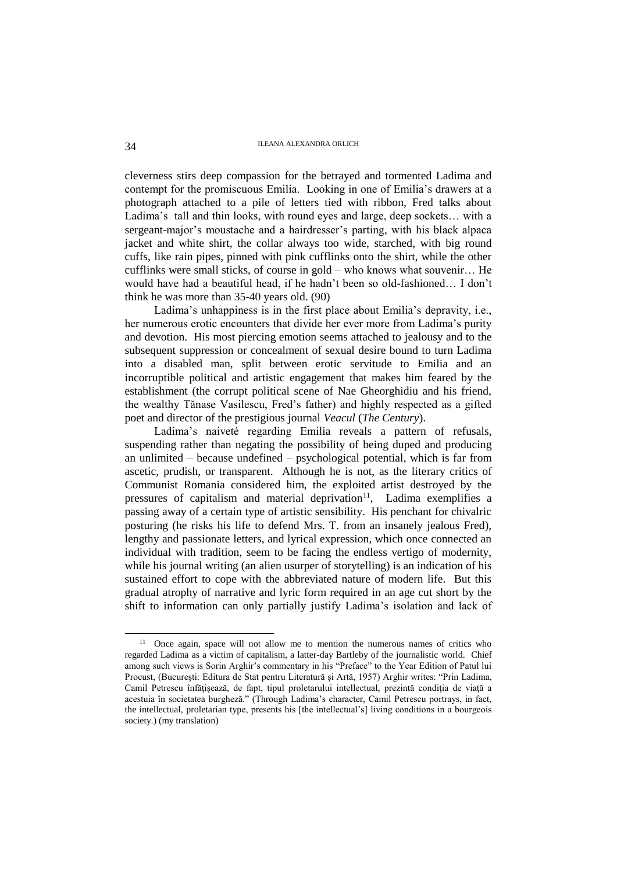cleverness stirs deep compassion for the betrayed and tormented Ladima and contempt for the promiscuous Emilia. Looking in one of Emilia's drawers at a photograph attached to a pile of letters tied with ribbon, Fred talks about Ladima's tall and thin looks, with round eyes and large, deep sockets… with a sergeant-major's moustache and a hairdresser's parting, with his black alpaca jacket and white shirt, the collar always too wide, starched, with big round cuffs, like rain pipes, pinned with pink cufflinks onto the shirt, while the other cufflinks were small sticks, of course in gold – who knows what souvenir… He would have had a beautiful head, if he hadn't been so old-fashioned… I don't think he was more than 35-40 years old. (90)

Ladima's unhappiness is in the first place about Emilia's depravity, i.e., her numerous erotic encounters that divide her ever more from Ladima's purity and devotion. His most piercing emotion seems attached to jealousy and to the subsequent suppression or concealment of sexual desire bound to turn Ladima into a disabled man, split between erotic servitude to Emilia and an incorruptible political and artistic engagement that makes him feared by the establishment (the corrupt political scene of Nae Gheorghidiu and his friend, the wealthy Tănase Vasilescu, Fred's father) and highly respected as a gifted poet and director of the prestigious journal *Veacul* (*The Century*).

Ladima's naiveté regarding Emilia reveals a pattern of refusals, suspending rather than negating the possibility of being duped and producing an unlimited – because undefined – psychological potential, which is far from ascetic, prudish, or transparent. Although he is not, as the literary critics of Communist Romania considered him, the exploited artist destroyed by the pressures of capitalism and material deprivation<sup>11</sup>, Ladima exemplifies a passing away of a certain type of artistic sensibility. His penchant for chivalric posturing (he risks his life to defend Mrs. T. from an insanely jealous Fred), lengthy and passionate letters, and lyrical expression, which once connected an individual with tradition, seem to be facing the endless vertigo of modernity, while his journal writing (an alien usurper of storytelling) is an indication of his sustained effort to cope with the abbreviated nature of modern life. But this gradual atrophy of narrative and lyric form required in an age cut short by the shift to information can only partially justify Ladima's isolation and lack of

<sup>&</sup>lt;sup>11</sup> Once again, space will not allow me to mention the numerous names of critics who regarded Ladima as a victim of capitalism, a latter-day Bartleby of the journalistic world. Chief among such views is Sorin Arghir's commentary in his "Preface" to the Year Edition of Patul lui Procust, (Bucureşti: Editura de Stat pentru Literatură şi Artă, 1957) Arghir writes: "Prin Ladima, Camil Petrescu înfăţişează, de fapt, tipul proletarului intellectual, prezintă condiţia de viaţă a acestuia în societatea burgheză." (Through Ladima's character, Camil Petrescu portrays, in fact, the intellectual, proletarian type, presents his [the intellectual's] living conditions in a bourgeois society.) (my translation)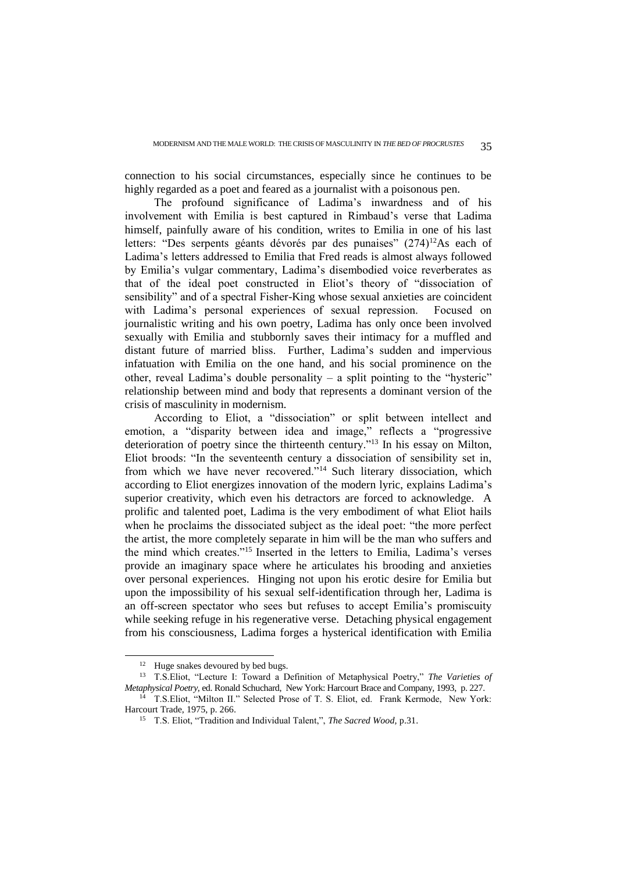connection to his social circumstances, especially since he continues to be highly regarded as a poet and feared as a journalist with a poisonous pen.

The profound significance of Ladima's inwardness and of his involvement with Emilia is best captured in Rimbaud's verse that Ladima himself, painfully aware of his condition, writes to Emilia in one of his last letters: "Des serpents géants dévorés par des punaises" (274)<sup>12</sup>As each of Ladima's letters addressed to Emilia that Fred reads is almost always followed by Emilia's vulgar commentary, Ladima's disembodied voice reverberates as that of the ideal poet constructed in Eliot's theory of "dissociation of sensibility" and of a spectral Fisher-King whose sexual anxieties are coincident with Ladima's personal experiences of sexual repression. Focused on journalistic writing and his own poetry, Ladima has only once been involved sexually with Emilia and stubbornly saves their intimacy for a muffled and distant future of married bliss. Further, Ladima's sudden and impervious infatuation with Emilia on the one hand, and his social prominence on the other, reveal Ladima's double personality – a split pointing to the "hysteric" relationship between mind and body that represents a dominant version of the crisis of masculinity in modernism.

According to Eliot, a "dissociation" or split between intellect and emotion, a "disparity between idea and image," reflects a "progressive deterioration of poetry since the thirteenth century."<sup>13</sup> In his essay on Milton, Eliot broods: "In the seventeenth century a dissociation of sensibility set in, from which we have never recovered."<sup>14</sup> Such literary dissociation, which according to Eliot energizes innovation of the modern lyric, explains Ladima's superior creativity, which even his detractors are forced to acknowledge. A prolific and talented poet, Ladima is the very embodiment of what Eliot hails when he proclaims the dissociated subject as the ideal poet: "the more perfect the artist, the more completely separate in him will be the man who suffers and the mind which creates."<sup>15</sup> Inserted in the letters to Emilia, Ladima's verses provide an imaginary space where he articulates his brooding and anxieties over personal experiences. Hinging not upon his erotic desire for Emilia but upon the impossibility of his sexual self-identification through her, Ladima is an off-screen spectator who sees but refuses to accept Emilia's promiscuity while seeking refuge in his regenerative verse. Detaching physical engagement from his consciousness, Ladima forges a hysterical identification with Emilia

<sup>&</sup>lt;sup>12</sup> Huge snakes devoured by bed bugs.

<sup>13</sup> T.S.Eliot, "Lecture I: Toward a Definition of Metaphysical Poetry," *The Varieties of Metaphysical Poetry*, ed. Ronald Schuchard, New York: Harcourt Brace and Company, 1993, p. 227.

<sup>14</sup> T.S.Eliot, "Milton II." Selected Prose of T. S. Eliot, ed. Frank Kermode, New York: Harcourt Trade, 1975, p. 266.

<sup>15</sup> T.S. Eliot, "Tradition and Individual Talent,", *The Sacred Wood,* p.31.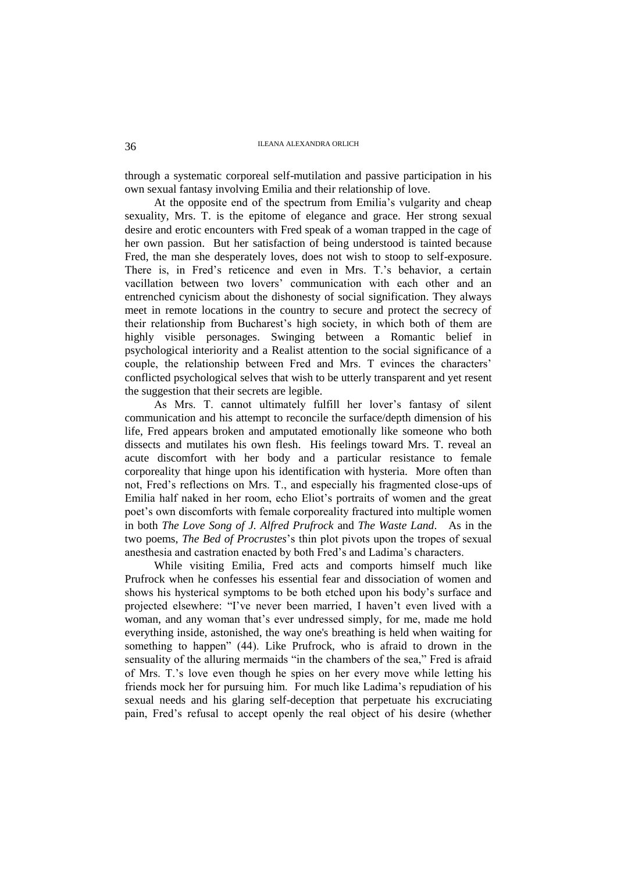through a systematic corporeal self-mutilation and passive participation in his own sexual fantasy involving Emilia and their relationship of love.

At the opposite end of the spectrum from Emilia's vulgarity and cheap sexuality, Mrs. T. is the epitome of elegance and grace. Her strong sexual desire and erotic encounters with Fred speak of a woman trapped in the cage of her own passion. But her satisfaction of being understood is tainted because Fred, the man she desperately loves, does not wish to stoop to self-exposure. There is, in Fred's reticence and even in Mrs. T.'s behavior, a certain vacillation between two lovers' communication with each other and an entrenched cynicism about the dishonesty of social signification. They always meet in remote locations in the country to secure and protect the secrecy of their relationship from Bucharest's high society, in which both of them are highly visible personages. Swinging between a Romantic belief in psychological interiority and a Realist attention to the social significance of a couple, the relationship between Fred and Mrs. T evinces the characters' conflicted psychological selves that wish to be utterly transparent and yet resent the suggestion that their secrets are legible.

As Mrs. T. cannot ultimately fulfill her lover's fantasy of silent communication and his attempt to reconcile the surface/depth dimension of his life, Fred appears broken and amputated emotionally like someone who both dissects and mutilates his own flesh. His feelings toward Mrs. T. reveal an acute discomfort with her body and a particular resistance to female corporeality that hinge upon his identification with hysteria. More often than not, Fred's reflections on Mrs. T., and especially his fragmented close-ups of Emilia half naked in her room, echo Eliot's portraits of women and the great poet's own discomforts with female corporeality fractured into multiple women in both *The Love Song of J. Alfred Prufrock* and *The Waste Land*. As in the two poems, *The Bed of Procrustes*'s thin plot pivots upon the tropes of sexual anesthesia and castration enacted by both Fred's and Ladima's characters.

While visiting Emilia, Fred acts and comports himself much like Prufrock when he confesses his essential fear and dissociation of women and shows his hysterical symptoms to be both etched upon his body's surface and projected elsewhere: "I've never been married, I haven't even lived with a woman, and any woman that's ever undressed simply, for me, made me hold everything inside, astonished, the way one's breathing is held when waiting for something to happen" (44). Like Prufrock, who is afraid to drown in the sensuality of the alluring mermaids "in the chambers of the sea," Fred is afraid of Mrs. T.'s love even though he spies on her every move while letting his friends mock her for pursuing him. For much like Ladima's repudiation of his sexual needs and his glaring self-deception that perpetuate his excruciating pain, Fred's refusal to accept openly the real object of his desire (whether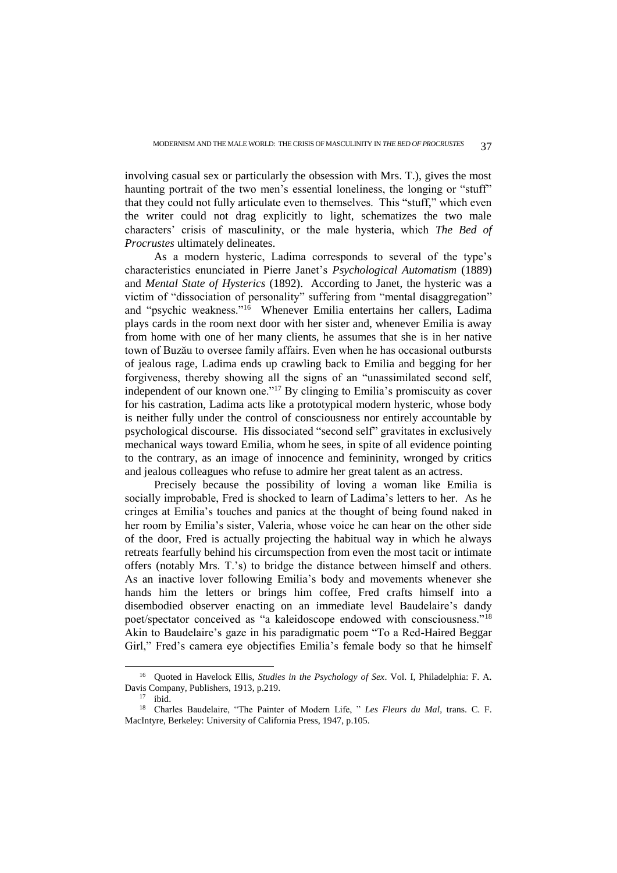involving casual sex or particularly the obsession with Mrs. T.), gives the most haunting portrait of the two men's essential loneliness, the longing or "stuff" that they could not fully articulate even to themselves. This "stuff," which even the writer could not drag explicitly to light, schematizes the two male characters' crisis of masculinity, or the male hysteria, which *The Bed of Procrustes* ultimately delineates.

As a modern hysteric, Ladima corresponds to several of the type's characteristics enunciated in Pierre Janet's *Psychological Automatism* (1889) and *Mental State of Hysterics* (1892). According to Janet, the hysteric was a victim of "dissociation of personality" suffering from "mental disaggregation" and "psychic weakness."<sup>16</sup> Whenever Emilia entertains her callers, Ladima plays cards in the room next door with her sister and, whenever Emilia is away from home with one of her many clients, he assumes that she is in her native town of Buzău to oversee family affairs. Even when he has occasional outbursts of jealous rage, Ladima ends up crawling back to Emilia and begging for her forgiveness, thereby showing all the signs of an "unassimilated second self, independent of our known one."<sup>17</sup> By clinging to Emilia's promiscuity as cover for his castration, Ladima acts like a prototypical modern hysteric, whose body is neither fully under the control of consciousness nor entirely accountable by psychological discourse. His dissociated "second self" gravitates in exclusively mechanical ways toward Emilia, whom he sees, in spite of all evidence pointing to the contrary, as an image of innocence and femininity, wronged by critics and jealous colleagues who refuse to admire her great talent as an actress.

Precisely because the possibility of loving a woman like Emilia is socially improbable, Fred is shocked to learn of Ladima's letters to her. As he cringes at Emilia's touches and panics at the thought of being found naked in her room by Emilia's sister, Valeria, whose voice he can hear on the other side of the door, Fred is actually projecting the habitual way in which he always retreats fearfully behind his circumspection from even the most tacit or intimate offers (notably Mrs. T.'s) to bridge the distance between himself and others. As an inactive lover following Emilia's body and movements whenever she hands him the letters or brings him coffee, Fred crafts himself into a disembodied observer enacting on an immediate level Baudelaire's dandy poet/spectator conceived as "a kaleidoscope endowed with consciousness."<sup>18</sup> Akin to Baudelaire's gaze in his paradigmatic poem "To a Red-Haired Beggar Girl," Fred's camera eye objectifies Emilia's female body so that he himself

 $\overline{\phantom{a}}$ 

<sup>16</sup> Quoted in Havelock Ellis, *Studies in the Psychology of Sex*. Vol. I, Philadelphia: F. A. Davis Company, Publishers, 1913, p.219.

<sup>17</sup> ibid.

<sup>18</sup> Charles Baudelaire, "The Painter of Modern Life, " *Les Fleurs du Mal*, trans. C. F. MacIntyre, Berkeley: University of California Press, 1947, p.105.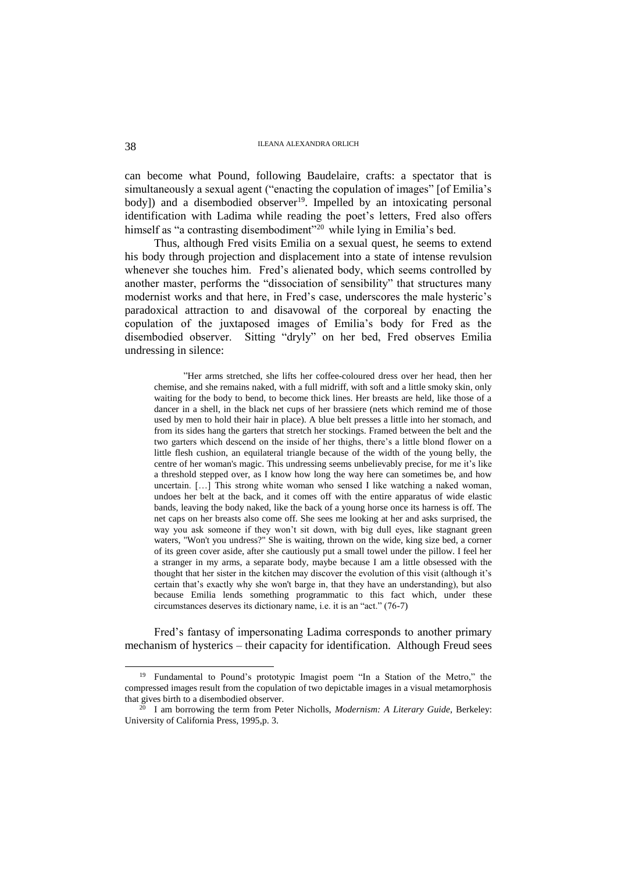can become what Pound, following Baudelaire, crafts: a spectator that is simultaneously a sexual agent ("enacting the copulation of images" [of Emilia's body]) and a disembodied observer<sup>19</sup>. Impelled by an intoxicating personal identification with Ladima while reading the poet's letters, Fred also offers himself as "a contrasting disembodiment"<sup>20</sup> while lying in Emilia's bed.

Thus, although Fred visits Emilia on a sexual quest, he seems to extend his body through projection and displacement into a state of intense revulsion whenever she touches him. Fred's alienated body, which seems controlled by another master, performs the "dissociation of sensibility" that structures many modernist works and that here, in Fred's case, underscores the male hysteric's paradoxical attraction to and disavowal of the corporeal by enacting the copulation of the juxtaposed images of Emilia's body for Fred as the disembodied observer. Sitting "dryly" on her bed, Fred observes Emilia undressing in silence:

"Her arms stretched, she lifts her coffee-coloured dress over her head, then her chemise, and she remains naked, with a full midriff, with soft and a little smoky skin, only waiting for the body to bend, to become thick lines. Her breasts are held, like those of a dancer in a shell, in the black net cups of her brassiere (nets which remind me of those used by men to hold their hair in place). A blue belt presses a little into her stomach, and from its sides hang the garters that stretch her stockings. Framed between the belt and the two garters which descend on the inside of her thighs, there's a little blond flower on a little flesh cushion, an equilateral triangle because of the width of the young belly, the centre of her woman's magic. This undressing seems unbelievably precise, for me it's like a threshold stepped over, as I know how long the way here can sometimes be, and how uncertain. […] This strong white woman who sensed I like watching a naked woman, undoes her belt at the back, and it comes off with the entire apparatus of wide elastic bands, leaving the body naked, like the back of a young horse once its harness is off. The net caps on her breasts also come off. She sees me looking at her and asks surprised, the way you ask someone if they won't sit down, with big dull eyes, like stagnant green waters, "Won't you undress?" She is waiting, thrown on the wide, king size bed, a corner of its green cover aside, after she cautiously put a small towel under the pillow. I feel her a stranger in my arms, a separate body, maybe because I am a little obsessed with the thought that her sister in the kitchen may discover the evolution of this visit (although it's certain that's exactly why she won't barge in, that they have an understanding), but also because Emilia lends something programmatic to this fact which, under these circumstances deserves its dictionary name, i.e. it is an "act." (76-7)

Fred's fantasy of impersonating Ladima corresponds to another primary mechanism of hysterics – their capacity for identification. Although Freud sees

 $\overline{\phantom{a}}$ 

<sup>19</sup> Fundamental to Pound's prototypic Imagist poem "In a Station of the Metro," the compressed images result from the copulation of two depictable images in a visual metamorphosis that gives birth to a disembodied observer.

<sup>20</sup> I am borrowing the term from Peter Nicholls, *Modernism: A Literary Guide*, Berkeley: University of California Press, 1995,p. 3.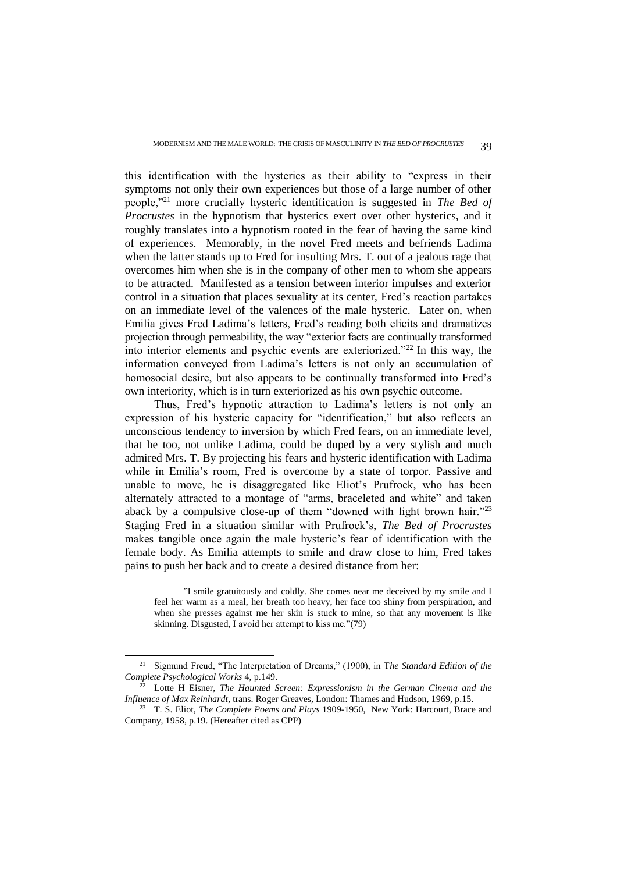this identification with the hysterics as their ability to "express in their symptoms not only their own experiences but those of a large number of other people,"<sup>21</sup> more crucially hysteric identification is suggested in *The Bed of Procrustes* in the hypnotism that hysterics exert over other hysterics, and it roughly translates into a hypnotism rooted in the fear of having the same kind of experiences. Memorably, in the novel Fred meets and befriends Ladima when the latter stands up to Fred for insulting Mrs. T. out of a jealous rage that overcomes him when she is in the company of other men to whom she appears to be attracted. Manifested as a tension between interior impulses and exterior control in a situation that places sexuality at its center, Fred's reaction partakes on an immediate level of the valences of the male hysteric. Later on, when Emilia gives Fred Ladima's letters, Fred's reading both elicits and dramatizes projection through permeability, the way "exterior facts are continually transformed into interior elements and psychic events are exteriorized."<sup>22</sup> In this way, the information conveyed from Ladima's letters is not only an accumulation of homosocial desire, but also appears to be continually transformed into Fred's own interiority, which is in turn exteriorized as his own psychic outcome.

Thus, Fred's hypnotic attraction to Ladima's letters is not only an expression of his hysteric capacity for "identification," but also reflects an unconscious tendency to inversion by which Fred fears, on an immediate level, that he too, not unlike Ladima, could be duped by a very stylish and much admired Mrs. T. By projecting his fears and hysteric identification with Ladima while in Emilia's room, Fred is overcome by a state of torpor. Passive and unable to move, he is disaggregated like Eliot's Prufrock, who has been alternately attracted to a montage of "arms, braceleted and white" and taken aback by a compulsive close-up of them "downed with light brown hair."<sup>23</sup> Staging Fred in a situation similar with Prufrock's, *The Bed of Procrustes* makes tangible once again the male hysteric's fear of identification with the female body. As Emilia attempts to smile and draw close to him, Fred takes pains to push her back and to create a desired distance from her:

"I smile gratuitously and coldly. She comes near me deceived by my smile and I feel her warm as a meal, her breath too heavy, her face too shiny from perspiration, and when she presses against me her skin is stuck to mine, so that any movement is like skinning. Disgusted, I avoid her attempt to kiss me."(79)

<sup>21</sup> Sigmund Freud, "The Interpretation of Dreams," (1900), in T*he Standard Edition of the Complete Psychological Works* 4, p.149.

<sup>&</sup>lt;sup>2</sup> Lotte H Eisner, *The Haunted Screen: Expressionism in the German Cinema and the Influence of Max Reinhardt*, trans. Roger Greaves, London: Thames and Hudson, 1969, p.15.

<sup>23</sup> T. S. Eliot, *The Complete Poems and Plays* 1909-1950, New York: Harcourt, Brace and Company, 1958, p.19. (Hereafter cited as CPP)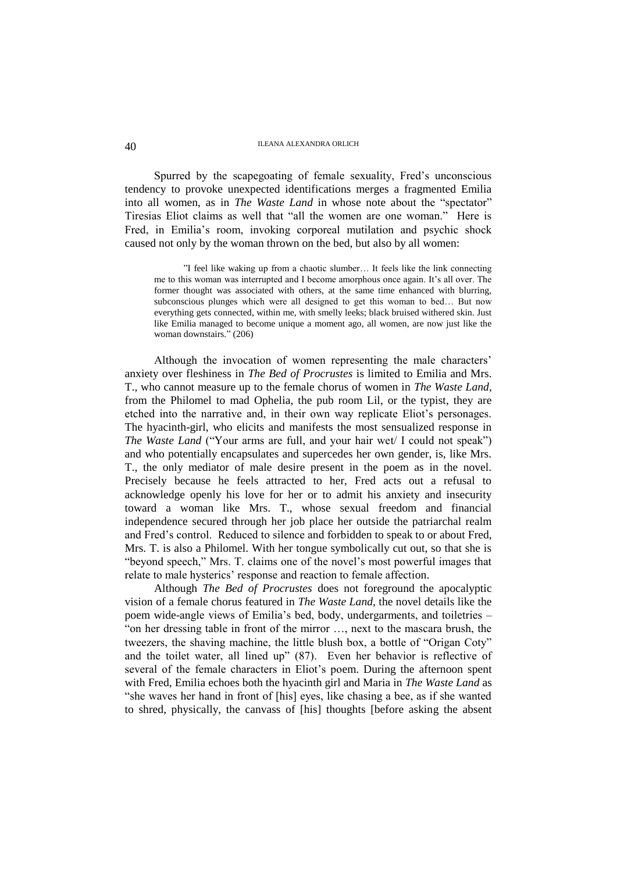Spurred by the scapegoating of female sexuality, Fred's unconscious tendency to provoke unexpected identifications merges a fragmented Emilia into all women, as in *The Waste Land* in whose note about the "spectator" Tiresias Eliot claims as well that "all the women are one woman." Here is Fred, in Emilia's room, invoking corporeal mutilation and psychic shock caused not only by the woman thrown on the bed, but also by all women:

"I feel like waking up from a chaotic slumber… It feels like the link connecting me to this woman was interrupted and I become amorphous once again. It's all over. The former thought was associated with others, at the same time enhanced with blurring, subconscious plunges which were all designed to get this woman to bed… But now everything gets connected, within me, with smelly leeks; black bruised withered skin. Just like Emilia managed to become unique a moment ago, all women, are now just like the woman downstairs." (206)

Although the invocation of women representing the male characters' anxiety over fleshiness in *The Bed of Procrustes* is limited to Emilia and Mrs. T., who cannot measure up to the female chorus of women in *The Waste Land*, from the Philomel to mad Ophelia, the pub room Lil, or the typist, they are etched into the narrative and, in their own way replicate Eliot's personages. The hyacinth-girl, who elicits and manifests the most sensualized response in *The Waste Land* ("Your arms are full, and your hair wet/ I could not speak") and who potentially encapsulates and supercedes her own gender, is, like Mrs. T., the only mediator of male desire present in the poem as in the novel. Precisely because he feels attracted to her, Fred acts out a refusal to acknowledge openly his love for her or to admit his anxiety and insecurity toward a woman like Mrs. T., whose sexual freedom and financial independence secured through her job place her outside the patriarchal realm and Fred's control. Reduced to silence and forbidden to speak to or about Fred, Mrs. T. is also a Philomel. With her tongue symbolically cut out, so that she is "beyond speech," Mrs. T. claims one of the novel's most powerful images that relate to male hysterics' response and reaction to female affection.

Although *The Bed of Procrustes* does not foreground the apocalyptic vision of a female chorus featured in *The Waste Land*, the novel details like the poem wide-angle views of Emilia's bed, body, undergarments, and toiletries – "on her dressing table in front of the mirror …, next to the mascara brush, the tweezers, the shaving machine, the little blush box, a bottle of "Origan Coty" and the toilet water, all lined up" (87). Even her behavior is reflective of several of the female characters in Eliot's poem. During the afternoon spent with Fred, Emilia echoes both the hyacinth girl and Maria in *The Waste Land* as "she waves her hand in front of [his] eyes, like chasing a bee, as if she wanted to shred, physically, the canvass of [his] thoughts [before asking the absent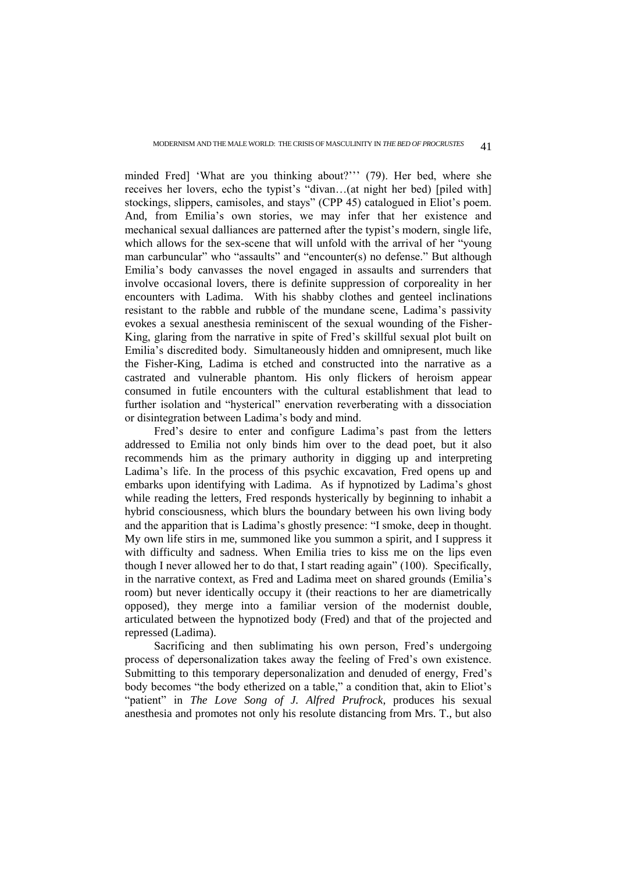minded Fred] 'What are you thinking about?''' (79). Her bed, where she receives her lovers, echo the typist's "divan…(at night her bed) [piled with] stockings, slippers, camisoles, and stays" (CPP 45) catalogued in Eliot's poem. And, from Emilia's own stories, we may infer that her existence and mechanical sexual dalliances are patterned after the typist's modern, single life, which allows for the sex-scene that will unfold with the arrival of her "young man carbuncular" who "assaults" and "encounter(s) no defense." But although Emilia's body canvasses the novel engaged in assaults and surrenders that involve occasional lovers, there is definite suppression of corporeality in her encounters with Ladima. With his shabby clothes and genteel inclinations resistant to the rabble and rubble of the mundane scene, Ladima's passivity evokes a sexual anesthesia reminiscent of the sexual wounding of the Fisher-King, glaring from the narrative in spite of Fred's skillful sexual plot built on Emilia's discredited body. Simultaneously hidden and omnipresent, much like the Fisher-King, Ladima is etched and constructed into the narrative as a castrated and vulnerable phantom. His only flickers of heroism appear consumed in futile encounters with the cultural establishment that lead to further isolation and "hysterical" enervation reverberating with a dissociation or disintegration between Ladima's body and mind.

Fred's desire to enter and configure Ladima's past from the letters addressed to Emilia not only binds him over to the dead poet, but it also recommends him as the primary authority in digging up and interpreting Ladima's life. In the process of this psychic excavation, Fred opens up and embarks upon identifying with Ladima. As if hypnotized by Ladima's ghost while reading the letters, Fred responds hysterically by beginning to inhabit a hybrid consciousness, which blurs the boundary between his own living body and the apparition that is Ladima's ghostly presence: "I smoke, deep in thought. My own life stirs in me, summoned like you summon a spirit, and I suppress it with difficulty and sadness. When Emilia tries to kiss me on the lips even though I never allowed her to do that, I start reading again" (100). Specifically, in the narrative context, as Fred and Ladima meet on shared grounds (Emilia's room) but never identically occupy it (their reactions to her are diametrically opposed), they merge into a familiar version of the modernist double, articulated between the hypnotized body (Fred) and that of the projected and repressed (Ladima).

Sacrificing and then sublimating his own person, Fred's undergoing process of depersonalization takes away the feeling of Fred's own existence. Submitting to this temporary depersonalization and denuded of energy, Fred's body becomes "the body etherized on a table," a condition that, akin to Eliot's "patient" in *The Love Song of J. Alfred Prufrock*, produces his sexual anesthesia and promotes not only his resolute distancing from Mrs. T., but also